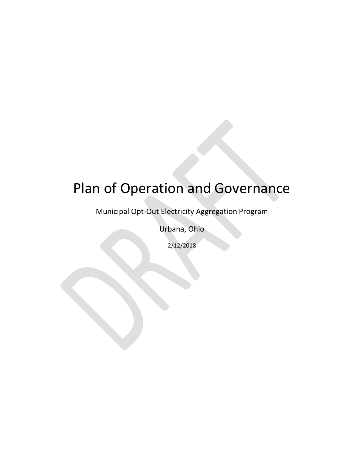# Plan of Operation and Governance

Municipal Opt-Out Electricity Aggregation Program

Urbana, Ohio

2/12/2018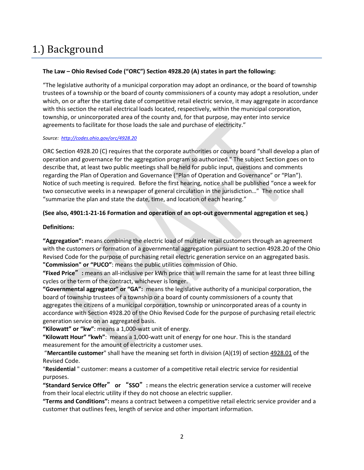# 1.) Background

### **The Law – Ohio Revised Code ("ORC") Section 4928.20 (A) states in part the following:**

"The legislative authority of a municipal corporation may adopt an ordinance, or the board of township trustees of a township or the board of county commissioners of a county may adopt a resolution, under which, on or after the starting date of competitive retail electric service, it may aggregate in accordance with this section the retail electrical loads located, respectively, within the municipal corporation, township, or unincorporated area of the county and, for that purpose, may enter into service agreements to facilitate for those loads the sale and purchase of electricity."

#### *Source: <http://codes.ohio.gov/orc/4928.20>*

ORC Section 4928.20 (C) requires that the corporate authorities or county board "shall develop a plan of operation and governance for the aggregation program so authorized." The subject Section goes on to describe that, at least two public meetings shall be held for public input, questions and comments regarding the Plan of Operation and Governance ("Plan of Operation and Governance" or "Plan"). Notice of such meeting is required. Before the first hearing, notice shall be published "once a week for two consecutive weeks in a newspaper of general circulation in the jurisdiction…" The notice shall "summarize the plan and state the date, time, and location of each hearing."

#### **(See also, 4901:1-21-16 Formation and operation of an opt-out governmental aggregation et seq.)**

#### **Definitions:**

**"Aggregation":** means combining the electric load of multiple retail customers through an agreement with the customers or formation of a governmental aggregation pursuant to section 4928.20 of the Ohio Revised Code for the purpose of purchasing retail electric generation service on an aggregated basis. **"Commission" or "PUCO"**: means the public utilities commission of Ohio.

**"Fixed Price":** means an all-inclusive per kWh price that will remain the same for at least three billing cycles or the term of the contract, whichever is longer.

**"Governmental aggregator" or "GA":** means the legislative authority of a municipal corporation, the board of township trustees of a township or a board of county commissioners of a county that aggregates the citizens of a municipal corporation, township or unincorporated areas of a county in accordance with Section 4928.20 of the Ohio Revised Code for the purpose of purchasing retail electric generation service on an aggregated basis.

**"Kilowatt" or "kw"**: means a 1,000-watt unit of energy.

**"Kilowatt Hour" "kwh"**: means a 1,000-watt unit of energy for one hour. This is the standard measurement for the amount of electricity a customer uses.

"**Mercantile customer**" shall have the meaning set forth in division (A)(19) of section [4928.01](http://codes.ohio.gov/orc/4928.01) of the Revised Code.

"**Residential** " customer: means a customer of a competitive retail electric service for residential purposes.

**"Standard Service Offer" or "SSO":** means the electric generation service a customer will receive from their local electric utility if they do not choose an electric supplier.

**"Terms and Conditions":** means a contract between a competitive retail electric service provider and a customer that outlines fees, length of service and other important information.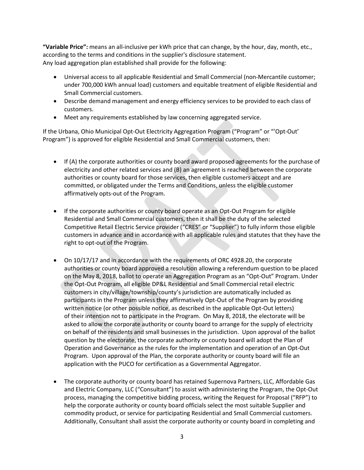**"Variable Price":** means an all-inclusive per kWh price that can change, by the hour, day, month, etc., according to the terms and conditions in the supplier's disclosure statement. Any load aggregation plan established shall provide for the following:

- Universal access to all applicable Residential and Small Commercial (non-Mercantile customer; under 700,000 kWh annual load) customers and equitable treatment of eligible Residential and Small Commercial customers.
- Describe demand management and energy efficiency services to be provided to each class of customers.
- Meet any requirements established by law concerning aggregated service.

If the Urbana, Ohio Municipal Opt-Out Electricity Aggregation Program ("Program" or "'Opt-Out' Program") is approved for eligible Residential and Small Commercial customers, then:

- If (A) the corporate authorities or county board award proposed agreements for the purchase of electricity and other related services and (B) an agreement is reached between the corporate authorities or county board for those services, then eligible customers accept and are committed, or obligated under the Terms and Conditions, unless the eligible customer affirmatively opts-out of the Program.
- If the corporate authorities or county board operate as an Opt-Out Program for eligible Residential and Small Commercial customers, then it shall be the duty of the selected Competitive Retail Electric Service provider ("CRES" or "Supplier") to fully inform those eligible customers in advance and in accordance with all applicable rules and statutes that they have the right to opt-out of the Program.
- On 10/17/17 and in accordance with the requirements of ORC 4928.20, the corporate authorities or county board approved a resolution allowing a referendum question to be placed on the May 8, 2018, ballot to operate an Aggregation Program as an "Opt-Out" Program. Under the Opt-Out Program, all eligible DP&L Residential and Small Commercial retail electric customers in city/village/township/county's jurisdiction are automatically included as participants in the Program unless they affirmatively Opt-Out of the Program by providing written notice (or other possible notice, as described in the applicable Opt-Out letters) of their intention not to participate in the Program. On May 8, 2018, the electorate will be asked to allow the corporate authority or county board to arrange for the supply of electricity on behalf of the residents and small businesses in the jurisdiction. Upon approval of the ballot question by the electorate, the corporate authority or county board will adopt the Plan of Operation and Governance as the rules for the implementation and operation of an Opt-Out Program. Upon approval of the Plan, the corporate authority or county board will file an application with the PUCO for certification as a Governmental Aggregator.
- The corporate authority or county board has retained Supernova Partners, LLC, Affordable Gas and Electric Company, LLC ("Consultant") to assist with administering the Program, the Opt-Out process, managing the competitive bidding process, writing the Request for Proposal ("RFP") to help the corporate authority or county board officials select the most suitable Supplier and commodity product, or service for participating Residential and Small Commercial customers. Additionally, Consultant shall assist the corporate authority or county board in completing and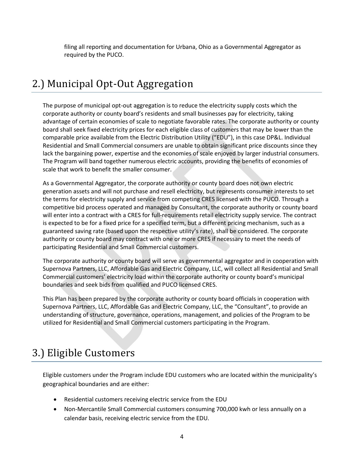filing all reporting and documentation for Urbana, Ohio as a Governmental Aggregator as required by the PUCO.

# 2.) Municipal Opt-Out Aggregation

The purpose of municipal opt-out aggregation is to reduce the electricity supply costs which the corporate authority or county board's residents and small businesses pay for electricity, taking advantage of certain economies of scale to negotiate favorable rates. The corporate authority or county board shall seek fixed electricity prices for each eligible class of customers that may be lower than the comparable price available from the Electric Distribution Utility ("EDU"), in this case DP&L. Individual Residential and Small Commercial consumers are unable to obtain significant price discounts since they lack the bargaining power, expertise and the economies of scale enjoyed by larger industrial consumers. The Program will band together numerous electric accounts, providing the benefits of economies of scale that work to benefit the smaller consumer.

As a Governmental Aggregator, the corporate authority or county board does not own electric generation assets and will not purchase and resell electricity, but represents consumer interests to set the terms for electricity supply and service from competing CRES licensed with the PUCO. Through a competitive bid process operated and managed by Consultant, the corporate authority or county board will enter into a contract with a CRES for full-requirements retail electricity supply service. The contract is expected to be for a fixed price for a specified term, but a different pricing mechanism, such as a guaranteed saving rate (based upon the respective utility's rate), shall be considered. The corporate authority or county board may contract with one or more CRES if necessary to meet the needs of participating Residential and Small Commercial customers.

The corporate authority or county board will serve as governmental aggregator and in cooperation with Supernova Partners, LLC, Affordable Gas and Electric Company, LLC, will collect all Residential and Small Commercial customers' electricity load within the corporate authority or county board's municipal boundaries and seek bids from qualified and PUCO licensed CRES.

This Plan has been prepared by the corporate authority or county board officials in cooperation with Supernova Partners, LLC, Affordable Gas and Electric Company, LLC, the "Consultant", to provide an understanding of structure, governance, operations, management, and policies of the Program to be utilized for Residential and Small Commercial customers participating in the Program.

# 3.) Eligible Customers

Eligible customers under the Program include EDU customers who are located within the municipality's geographical boundaries and are either:

- Residential customers receiving electric service from the EDU
- Non-Mercantile Small Commercial customers consuming 700,000 kwh or less annually on a calendar basis, receiving electric service from the EDU.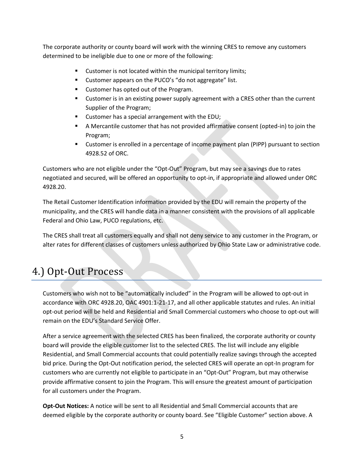The corporate authority or county board will work with the winning CRES to remove any customers determined to be ineligible due to one or more of the following:

- Customer is not located within the municipal territory limits;
- Customer appears on the PUCO's "do not aggregate" list.
- Customer has opted out of the Program.
- Customer is in an existing power supply agreement with a CRES other than the current Supplier of the Program;
- Customer has a special arrangement with the EDU;
- **■** A Mercantile customer that has not provided affirmative consent (opted-in) to join the Program;
- **EXECUTE:** Customer is enrolled in a percentage of income payment plan (PIPP) pursuant to section 4928.52 of ORC.

Customers who are not eligible under the "Opt-Out" Program, but may see a savings due to rates negotiated and secured, will be offered an opportunity to opt-in, if appropriate and allowed under ORC 4928.20.

The Retail Customer Identification information provided by the EDU will remain the property of the municipality, and the CRES will handle data in a manner consistent with the provisions of all applicable Federal and Ohio Law, PUCO regulations, etc.

The CRES shall treat all customers equally and shall not deny service to any customer in the Program, or alter rates for different classes of customers unless authorized by Ohio State Law or administrative code.

### 4.) Opt-Out Process

Customers who wish not to be "automatically included" in the Program will be allowed to opt-out in accordance with ORC 4928.20, OAC 4901:1-21-17, and all other applicable statutes and rules. An initial opt-out period will be held and Residential and Small Commercial customers who choose to opt-out will remain on the EDU's Standard Service Offer.

After a service agreement with the selected CRES has been finalized, the corporate authority or county board will provide the eligible customer list to the selected CRES. The list will include any eligible Residential, and Small Commercial accounts that could potentially realize savings through the accepted bid price. During the Opt-Out notification period, the selected CRES will operate an opt-In program for customers who are currently not eligible to participate in an "Opt-Out" Program, but may otherwise provide affirmative consent to join the Program. This will ensure the greatest amount of participation for all customers under the Program.

**Opt-Out Notices:** A notice will be sent to all Residential and Small Commercial accounts that are deemed eligible by the corporate authority or county board. See "Eligible Customer" section above. A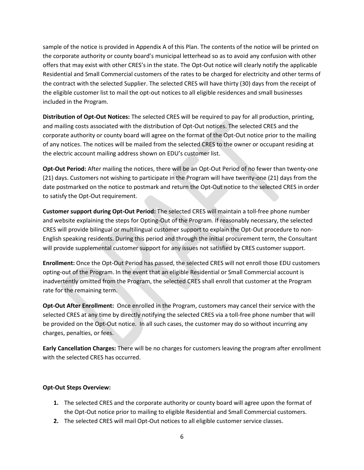sample of the notice is provided in Appendix A of this Plan. The contents of the notice will be printed on the corporate authority or county board's municipal letterhead so as to avoid any confusion with other offers that may exist with other CRES's in the state. The Opt-Out notice will clearly notify the applicable Residential and Small Commercial customers of the rates to be charged for electricity and other terms of the contract with the selected Supplier. The selected CRES will have thirty (30) days from the receipt of the eligible customer list to mail the opt-out notices to all eligible residences and small businesses included in the Program.

**Distribution of Opt-Out Notices:** The selected CRES will be required to pay for all production, printing, and mailing costs associated with the distribution of Opt-Out notices. The selected CRES and the corporate authority or county board will agree on the format of the Opt-Out notice prior to the mailing of any notices. The notices will be mailed from the selected CRES to the owner or occupant residing at the electric account mailing address shown on EDU's customer list.

**Opt-Out Period:** After mailing the notices, there will be an Opt-Out Period of no fewer than twenty-one (21) days. Customers not wishing to participate in the Program will have twenty-one (21) days from the date postmarked on the notice to postmark and return the Opt-Out notice to the selected CRES in order to satisfy the Opt-Out requirement.

**Customer support during Opt-Out Period:** The selected CRES will maintain a toll-free phone number and website explaining the steps for Opting-Out of the Program. If reasonably necessary, the selected CRES will provide bilingual or multilingual customer support to explain the Opt-Out procedure to non-English speaking residents. During this period and through the initial procurement term, the Consultant will provide supplemental customer support for any issues not satisfied by CRES customer support.

**Enrollment:** Once the Opt-Out Period has passed, the selected CRES will not enroll those EDU customers opting-out of the Program. In the event that an eligible Residential or Small Commercial account is inadvertently omitted from the Program, the selected CRES shall enroll that customer at the Program rate for the remaining term.

**Opt-Out After Enrollment:** Once enrolled in the Program, customers may cancel their service with the selected CRES at any time by directly notifying the selected CRES via a toll-free phone number that will be provided on the Opt-Out notice. In all such cases, the customer may do so without incurring any charges, penalties, or fees.

**Early Cancellation Charges:** There will be no charges for customers leaving the program after enrollment with the selected CRES has occurred.

#### **Opt-Out Steps Overview:**

- **1.** The selected CRES and the corporate authority or county board will agree upon the format of the Opt-Out notice prior to mailing to eligible Residential and Small Commercial customers.
- **2.** The selected CRES will mail Opt-Out notices to all eligible customer service classes.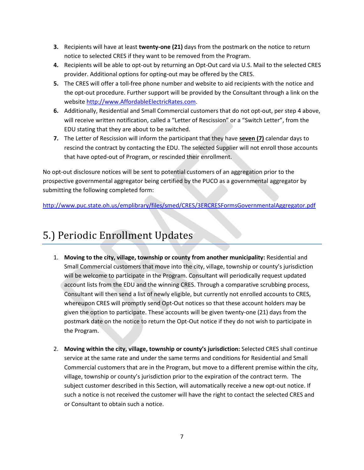- **3.** Recipients will have at least **twenty-one (21)** days from the postmark on the notice to return notice to selected CRES if they want to be removed from the Program.
- **4.** Recipients will be able to opt-out by returning an Opt-Out card via U.S. Mail to the selected CRES provider. Additional options for opting-out may be offered by the CRES.
- **5.** The CRES will offer a toll-free phone number and website to aid recipients with the notice and the opt-out procedure. Further support will be provided by the Consultant through a link on the websit[e http://www.AffordableElectricRates.com.](http://www.affordableelectricrates.com/)
- **6.** Additionally, Residential and Small Commercial customers that do not opt-out, per step 4 above, will receive written notification, called a "Letter of Rescission" or a "Switch Letter", from the EDU stating that they are about to be switched.
- **7.** The Letter of Rescission will inform the participant that they have **seven (7)** calendar days to rescind the contract by contacting the EDU. The selected Supplier will not enroll those accounts that have opted-out of Program, or rescinded their enrollment.

No opt-out disclosure notices will be sent to potential customers of an aggregation prior to the prospective governmental aggregator being certified by the PUCO as a governmental aggregator by submitting the following completed form:

<http://www.puc.state.oh.us/emplibrary/files/smed/CRES/3ERCRESFormsGovernmentalAggregator.pdf>

### 5.) Periodic Enrollment Updates

- 1. **Moving to the city, village, township or county from another municipality:** Residential and Small Commercial customers that move into the city, village, township or county's jurisdiction will be welcome to participate in the Program. Consultant will periodically request updated account lists from the EDU and the winning CRES. Through a comparative scrubbing process, Consultant will then send a list of newly eligible, but currently not enrolled accounts to CRES, whereupon CRES will promptly send Opt-Out notices so that these account holders may be given the option to participate. These accounts will be given twenty-one (21) days from the postmark date on the notice to return the Opt-Out notice if they do not wish to participate in the Program.
- 2. **Moving within the city, village, township or county's jurisdiction:** Selected CRES shall continue service at the same rate and under the same terms and conditions for Residential and Small Commercial customers that are in the Program, but move to a different premise within the city, village, township or county's jurisdiction prior to the expiration of the contract term. The subject customer described in this Section, will automatically receive a new opt-out notice. If such a notice is not received the customer will have the right to contact the selected CRES and or Consultant to obtain such a notice.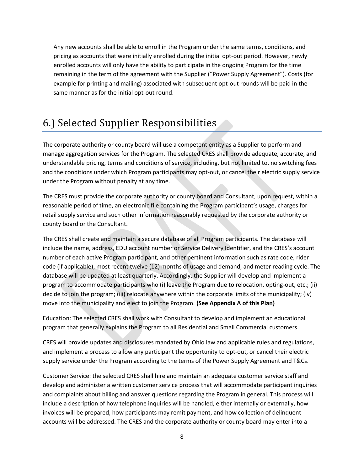Any new accounts shall be able to enroll in the Program under the same terms, conditions, and pricing as accounts that were initially enrolled during the initial opt-out period. However, newly enrolled accounts will only have the ability to participate in the ongoing Program for the time remaining in the term of the agreement with the Supplier ("Power Supply Agreement"). Costs (for example for printing and mailing) associated with subsequent opt-out rounds will be paid in the same manner as for the initial opt-out round.

### 6.) Selected Supplier Responsibilities

The corporate authority or county board will use a competent entity as a Supplier to perform and manage aggregation services for the Program. The selected CRES shall provide adequate, accurate, and understandable pricing, terms and conditions of service, including, but not limited to, no switching fees and the conditions under which Program participants may opt-out, or cancel their electric supply service under the Program without penalty at any time.

The CRES must provide the corporate authority or county board and Consultant, upon request, within a reasonable period of time, an electronic file containing the Program participant's usage, charges for retail supply service and such other information reasonably requested by the corporate authority or county board or the Consultant.

The CRES shall create and maintain a secure database of all Program participants. The database will include the name, address, EDU account number or Service Delivery Identifier, and the CRES's account number of each active Program participant, and other pertinent information such as rate code, rider code (if applicable), most recent twelve (12) months of usage and demand, and meter reading cycle. The database will be updated at least quarterly. Accordingly, the Supplier will develop and implement a program to accommodate participants who (i) leave the Program due to relocation, opting-out, etc.; (ii) decide to join the program; (iii) relocate anywhere within the corporate limits of the municipality; (iv) move into the municipality and elect to join the Program. **(See Appendix A of this Plan)**

Education: The selected CRES shall work with Consultant to develop and implement an educational program that generally explains the Program to all Residential and Small Commercial customers.

CRES will provide updates and disclosures mandated by Ohio law and applicable rules and regulations, and implement a process to allow any participant the opportunity to opt-out, or cancel their electric supply service under the Program according to the terms of the Power Supply Agreement and T&Cs.

Customer Service: the selected CRES shall hire and maintain an adequate customer service staff and develop and administer a written customer service process that will accommodate participant inquiries and complaints about billing and answer questions regarding the Program in general. This process will include a description of how telephone inquiries will be handled, either internally or externally, how invoices will be prepared, how participants may remit payment, and how collection of delinquent accounts will be addressed. The CRES and the corporate authority or county board may enter into a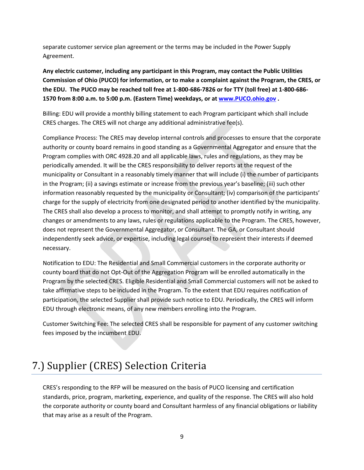separate customer service plan agreement or the terms may be included in the Power Supply Agreement.

**Any electric customer, including any participant in this Program, may contact the Public Utilities Commission of Ohio (PUCO) for information, or to make a complaint against the Program, the CRES, or the EDU. The PUCO may be reached toll free at 1-800-686-7826 or for TTY (toll free) at 1-800-686- 1570 from 8:00 a.m. to 5:00 p.m. (Eastern Time) weekdays, or at [www.PUCO.ohio.gov](http://www.puco.ohio.gov/) .**

Billing: EDU will provide a monthly billing statement to each Program participant which shall include CRES charges. The CRES will not charge any additional administrative fee(s).

Compliance Process: The CRES may develop internal controls and processes to ensure that the corporate authority or county board remains in good standing as a Governmental Aggregator and ensure that the Program complies with ORC 4928.20 and all applicable laws, rules and regulations, as they may be periodically amended. It will be the CRES responsibility to deliver reports at the request of the municipality or Consultant in a reasonably timely manner that will include (i) the number of participants in the Program; (ii) a savings estimate or increase from the previous year's baseline; (iii) such other information reasonably requested by the municipality or Consultant; (iv) comparison of the participants' charge for the supply of electricity from one designated period to another identified by the municipality. The CRES shall also develop a process to monitor, and shall attempt to promptly notify in writing, any changes or amendments to any laws, rules or regulations applicable to the Program. The CRES, however, does not represent the Governmental Aggregator, or Consultant. The GA, or Consultant should independently seek advice, or expertise, including legal counsel to represent their interests if deemed necessary.

Notification to EDU: The Residential and Small Commercial customers in the corporate authority or county board that do not Opt-Out of the Aggregation Program will be enrolled automatically in the Program by the selected CRES. Eligible Residential and Small Commercial customers will not be asked to take affirmative steps to be included in the Program. To the extent that EDU requires notification of participation, the selected Supplier shall provide such notice to EDU. Periodically, the CRES will inform EDU through electronic means, of any new members enrolling into the Program.

Customer Switching Fee: The selected CRES shall be responsible for payment of any customer switching fees imposed by the incumbent EDU.

# 7.) Supplier (CRES) Selection Criteria

CRES's responding to the RFP will be measured on the basis of PUCO licensing and certification standards, price, program, marketing, experience, and quality of the response. The CRES will also hold the corporate authority or county board and Consultant harmless of any financial obligations or liability that may arise as a result of the Program.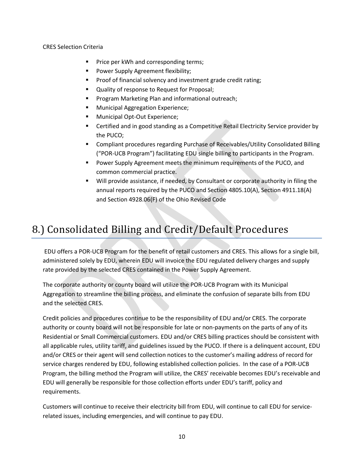CRES Selection Criteria

- Price per kWh and corresponding terms;
- Power Supply Agreement flexibility;
- Proof of financial solvency and investment grade credit rating;
- Quality of response to Request for Proposal;
- Program Marketing Plan and informational outreach;
- Municipal Aggregation Experience;
- Municipal Opt-Out Experience;
- **EXECT** Certified and in good standing as a Competitive Retail Electricity Service provider by the PUCO;
- Compliant procedures regarding Purchase of Receivables/Utility Consolidated Billing ("POR-UCB Program") facilitating EDU single billing to participants in the Program.
- Power Supply Agreement meets the minimum requirements of the PUCO, and common commercial practice.
- Will provide assistance, if needed, by Consultant or corporate authority in filing the annual reports required by the PUCO and Section 4805.10(A), Section 4911.18(A) and Section 4928.06(F) of the Ohio Revised Code

# 8.) Consolidated Billing and Credit/Default Procedures

EDU offers a POR-UCB Program for the benefit of retail customers and CRES. This allows for a single bill, administered solely by EDU, wherein EDU will invoice the EDU regulated delivery charges and supply rate provided by the selected CRES contained in the Power Supply Agreement.

The corporate authority or county board will utilize the POR-UCB Program with its Municipal Aggregation to streamline the billing process, and eliminate the confusion of separate bills from EDU and the selected CRES.

Credit policies and procedures continue to be the responsibility of EDU and/or CRES. The corporate authority or county board will not be responsible for late or non-payments on the parts of any of its Residential or Small Commercial customers. EDU and/or CRES billing practices should be consistent with all applicable rules, utility tariff, and guidelines issued by the PUCO. If there is a delinquent account, EDU and/or CRES or their agent will send collection notices to the customer's mailing address of record for service charges rendered by EDU, following established collection policies. In the case of a POR-UCB Program, the billing method the Program will utilize, the CRES' receivable becomes EDU's receivable and EDU will generally be responsible for those collection efforts under EDU's tariff, policy and requirements.

Customers will continue to receive their electricity bill from EDU, will continue to call EDU for servicerelated issues, including emergencies, and will continue to pay EDU.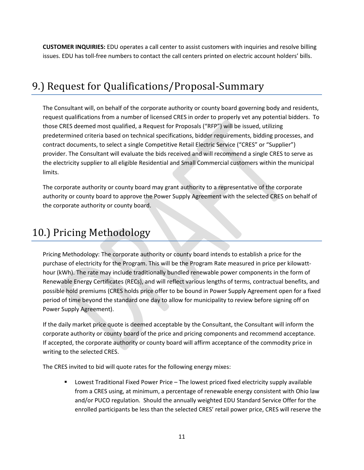**CUSTOMER INQUIRIES:** EDU operates a call center to assist customers with inquiries and resolve billing issues. EDU has toll-free numbers to contact the call centers printed on electric account holders' bills.

# 9.) Request for Qualifications/Proposal-Summary

The Consultant will, on behalf of the corporate authority or county board governing body and residents, request qualifications from a number of licensed CRES in order to properly vet any potential bidders. To those CRES deemed most qualified, a Request for Proposals ("RFP") will be issued, utilizing predetermined criteria based on technical specifications, bidder requirements, bidding processes, and contract documents, to select a single Competitive Retail Electric Service ("CRES" or "Supplier") provider. The Consultant will evaluate the bids received and will recommend a single CRES to serve as the electricity supplier to all eligible Residential and Small Commercial customers within the municipal limits.

The corporate authority or county board may grant authority to a representative of the corporate authority or county board to approve the Power Supply Agreement with the selected CRES on behalf of the corporate authority or county board.

### 10.) Pricing Methodology

Pricing Methodology: The corporate authority or county board intends to establish a price for the purchase of electricity for the Program. This will be the Program Rate measured in price per kilowatthour (kWh). The rate may include traditionally bundled renewable power components in the form of Renewable Energy Certificates (RECs), and will reflect various lengths of terms, contractual benefits, and possible hold premiums (CRES holds price offer to be bound in Power Supply Agreement open for a fixed period of time beyond the standard one day to allow for municipality to review before signing off on Power Supply Agreement).

If the daily market price quote is deemed acceptable by the Consultant, the Consultant will inform the corporate authority or county board of the price and pricing components and recommend acceptance. If accepted, the corporate authority or county board will affirm acceptance of the commodity price in writing to the selected CRES.

The CRES invited to bid will quote rates for the following energy mixes:

Lowest Traditional Fixed Power Price – The lowest priced fixed electricity supply available from a CRES using, at minimum, a percentage of renewable energy consistent with Ohio law and/or PUCO regulation. Should the annually weighted EDU Standard Service Offer for the enrolled participants be less than the selected CRES' retail power price, CRES will reserve the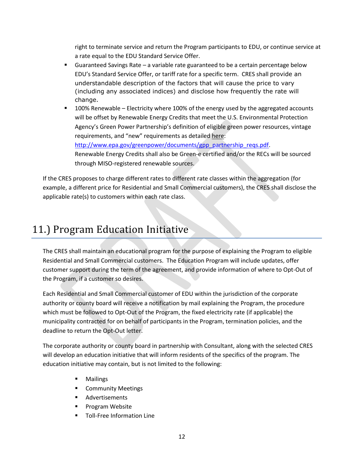right to terminate service and return the Program participants to EDU, or continue service at a rate equal to the EDU Standard Service Offer.

- Guaranteed Savings Rate a variable rate guaranteed to be a certain percentage below EDU's Standard Service Offer, or tariff rate for a specific term. CRES shall provide an understandable description of the factors that will cause the price to vary (including any associated indices) and disclose how frequently the rate will change.
- 100% Renewable Electricity where 100% of the energy used by the aggregated accounts will be offset by Renewable Energy Credits that meet the U.S. Environmental Protection Agency's Green Power Partnership's definition of eligible green power resources, vintage requirements, and "new" requirements as detailed here: [http://www.epa.gov/greenpower/documents/gpp\\_partnership\\_reqs.pdf.](http://www.epa.gov/greenpower/documents/gpp_partnership_reqs.pdf)

Renewable Energy Credits shall also be Green-e certified and/or the RECs will be sourced through MISO-registered renewable sources.

If the CRES proposes to charge different rates to different rate classes within the aggregation (for example, a different price for Residential and Small Commercial customers), the CRES shall disclose the applicable rate(s) to customers within each rate class.

### 11.) Program Education Initiative

The CRES shall maintain an educational program for the purpose of explaining the Program to eligible Residential and Small Commercial customers. The Education Program will include updates, offer customer support during the term of the agreement, and provide information of where to Opt-Out of the Program, if a customer so desires.

Each Residential and Small Commercial customer of EDU within the jurisdiction of the corporate authority or county board will receive a notification by mail explaining the Program, the procedure which must be followed to Opt-Out of the Program, the fixed electricity rate (if applicable) the municipality contracted for on behalf of participants in the Program, termination policies, and the deadline to return the Opt-Out letter.

The corporate authority or county board in partnership with Consultant, along with the selected CRES will develop an education initiative that will inform residents of the specifics of the program. The education initiative may contain, but is not limited to the following:

- **Mailings**
- Community Meetings
- Advertisements
- Program Website
- Toll-Free Information Line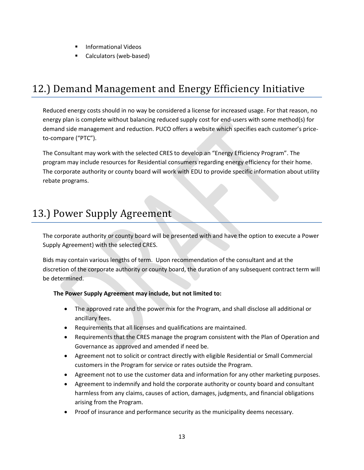- Informational Videos
- Calculators (web-based)

# 12.) Demand Management and Energy Efficiency Initiative

Reduced energy costs should in no way be considered a license for increased usage. For that reason, no energy plan is complete without balancing reduced supply cost for end-users with some method(s) for demand side management and reduction. PUCO offers a website which specifies each customer's priceto-compare ("PTC").

The Consultant may work with the selected CRES to develop an "Energy Efficiency Program". The program may include resources for Residential consumers regarding energy efficiency for their home. The corporate authority or county board will work with EDU to provide specific information about utility rebate programs.

### 13.) Power Supply Agreement

The corporate authority or county board will be presented with and have the option to execute a Power Supply Agreement) with the selected CRES.

Bids may contain various lengths of term. Upon recommendation of the consultant and at the discretion of the corporate authority or county board, the duration of any subsequent contract term will be determined.

#### **The Power Supply Agreement may include, but not limited to:**

- The approved rate and the power mix for the Program, and shall disclose all additional or ancillary fees.
- Requirements that all licenses and qualifications are maintained.
- Requirements that the CRES manage the program consistent with the Plan of Operation and Governance as approved and amended if need be.
- Agreement not to solicit or contract directly with eligible Residential or Small Commercial customers in the Program for service or rates outside the Program.
- Agreement not to use the customer data and information for any other marketing purposes.
- Agreement to indemnify and hold the corporate authority or county board and consultant harmless from any claims, causes of action, damages, judgments, and financial obligations arising from the Program.
- Proof of insurance and performance security as the municipality deems necessary.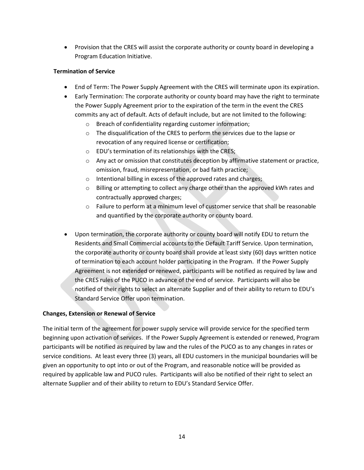• Provision that the CRES will assist the corporate authority or county board in developing a Program Education Initiative.

#### **Termination of Service**

- End of Term: The Power Supply Agreement with the CRES will terminate upon its expiration.
- Early Termination: The corporate authority or county board may have the right to terminate the Power Supply Agreement prior to the expiration of the term in the event the CRES commits any act of default. Acts of default include, but are not limited to the following:
	- o Breach of confidentiality regarding customer information;
	- $\circ$  The disqualification of the CRES to perform the services due to the lapse or revocation of any required license or certification;
	- o EDU's termination of its relationships with the CRES;
	- $\circ$  Any act or omission that constitutes deception by affirmative statement or practice, omission, fraud, misrepresentation, or bad faith practice;
	- o Intentional billing in excess of the approved rates and charges;
	- $\circ$  Billing or attempting to collect any charge other than the approved kWh rates and contractually approved charges;
	- $\circ$  Failure to perform at a minimum level of customer service that shall be reasonable and quantified by the corporate authority or county board.
- Upon termination, the corporate authority or county board will notify EDU to return the Residents and Small Commercial accounts to the Default Tariff Service. Upon termination, the corporate authority or county board shall provide at least sixty (60) days written notice of termination to each account holder participating in the Program. If the Power Supply Agreement is not extended or renewed, participants will be notified as required by law and the CRES rules of the PUCO in advance of the end of service. Participants will also be notified of their rights to select an alternate Supplier and of their ability to return to EDU's Standard Service Offer upon termination.

#### **Changes, Extension or Renewal of Service**

The initial term of the agreement for power supply service will provide service for the specified term beginning upon activation of services. If the Power Supply Agreement is extended or renewed, Program participants will be notified as required by law and the rules of the PUCO as to any changes in rates or service conditions. At least every three (3) years, all EDU customers in the municipal boundaries will be given an opportunity to opt into or out of the Program, and reasonable notice will be provided as required by applicable law and PUCO rules. Participants will also be notified of their right to select an alternate Supplier and of their ability to return to EDU's Standard Service Offer.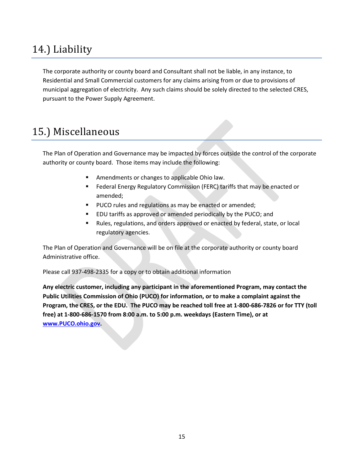# 14.) Liability

The corporate authority or county board and Consultant shall not be liable, in any instance, to Residential and Small Commercial customers for any claims arising from or due to provisions of municipal aggregation of electricity. Any such claims should be solely directed to the selected CRES, pursuant to the Power Supply Agreement.

### 15.) Miscellaneous

The Plan of Operation and Governance may be impacted by forces outside the control of the corporate authority or county board. Those items may include the following:

- Amendments or changes to applicable Ohio law.
- Federal Energy Regulatory Commission (FERC) tariffs that may be enacted or amended;
- PUCO rules and regulations as may be enacted or amended;
- EDU tariffs as approved or amended periodically by the PUCO; and
- Rules, regulations, and orders approved or enacted by federal, state, or local regulatory agencies.

The Plan of Operation and Governance will be on file at the corporate authority or county board Administrative office.

Please call 937-498-2335 for a copy or to obtain additional information

**Any electric customer, including any participant in the aforementioned Program, may contact the Public Utilities Commission of Ohio (PUCO) for information, or to make a complaint against the Program, the CRES, or the EDU. The PUCO may be reached toll free at 1-800-686-7826 or for TTY (toll free) at 1-800-686-1570 from 8:00 a.m. to 5:00 p.m. weekdays (Eastern Time), or at [www.PUCO.ohio.gov.](http://www.puco.ohio.gov/)**